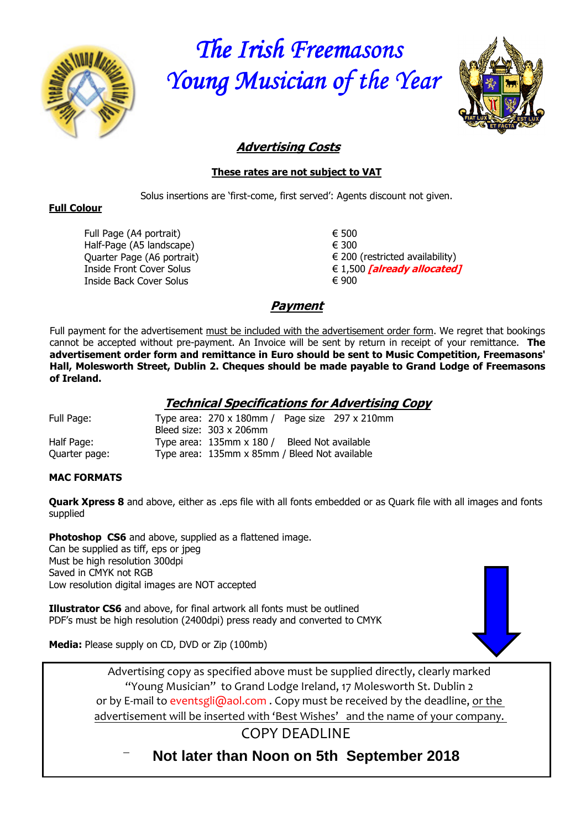

*The Irish Freemasons Young Musician of the Year Young Musician of the Year Young Musician Year* 



# **Advertising Costs**

#### **These rates are not subject to VAT**

Solus insertions are 'first-come, first served': Agents discount not given.

#### **Full Colour**

Full Page (A4 portrait) Half-Page (A5 landscape) Quarter Page (A6 portrait) Inside Front Cover Solus Inside Back Cover Solus

€ 500 € 300  $\in$  200 (restricted availability) € 1,500 **[already allocated]** € 900

# **Payment**

Full payment for the advertisement must be included with the advertisement order form. We regret that bookings cannot be accepted without pre-payment. An Invoice will be sent by return in receipt of your remittance. **The advertisement order form and remittance in Euro should be sent to Music Competition, Freemasons' Hall, Molesworth Street, Dublin 2. Cheques should be made payable to Grand Lodge of Freemasons of Ireland.**

### **Technical Specifications for Advertising Copy**

| Full Page:    | Type area: $270 \times 180$ mm / Page size $297 \times 210$ mm |                     |  |
|---------------|----------------------------------------------------------------|---------------------|--|
|               | Bleed size: 303 x 206mm                                        |                     |  |
| Half Page:    | Type area: 135mm x 180 /                                       | Bleed Not available |  |
| Quarter page: | Type area: 135mm x 85mm / Bleed Not available                  |                     |  |

#### **MAC FORMATS**

**Quark Xpress 8** and above, either as .eps file with all fonts embedded or as Quark file with all images and fonts supplied

**Photoshop CS6** and above, supplied as a flattened image. Can be supplied as tiff, eps or jpeg Must be high resolution 300dpi Saved in CMYK not RGB Low resolution digital images are NOT accepted

**Illustrator CS6** and above, for final artwork all fonts must be outlined PDF's must be high resolution (2400dpi) press ready and converted to CMYK



**Media:** Please supply on CD, DVD or Zip (100mb)

Advertising copy as specified above must be supplied directly, clearly marked "Young Musician" to Grand Lodge Ireland, 17 Molesworth St. Dublin 2 or by E-mail to eventsgli@aol.com. Copy must be received by the deadline, or the advertisement will be inserted with 'Best Wishes' and the name of your company.

COPY DEADLINE

**Not later than Noon on 5th September 2018**